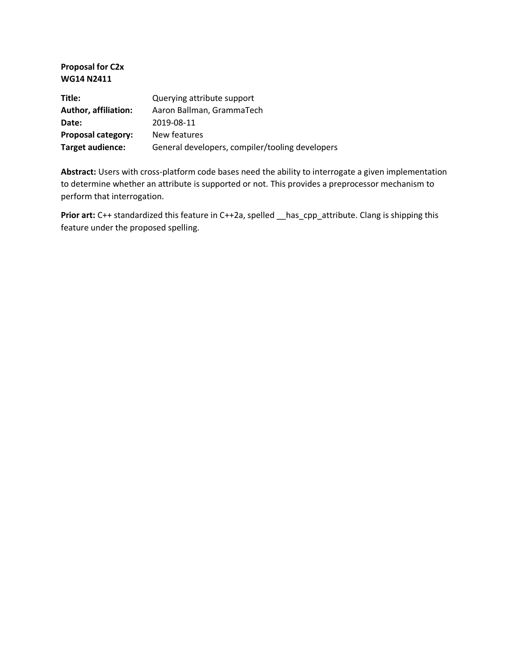**Proposal for C2x WG14 N2411**

| Title:                      | Querying attribute support                      |
|-----------------------------|-------------------------------------------------|
| <b>Author, affiliation:</b> | Aaron Ballman, GrammaTech                       |
| Date:                       | 2019-08-11                                      |
| <b>Proposal category:</b>   | New features                                    |
| Target audience:            | General developers, compiler/tooling developers |

**Abstract:** Users with cross-platform code bases need the ability to interrogate a given implementation to determine whether an attribute is supported or not. This provides a preprocessor mechanism to perform that interrogation.

**Prior art:** C++ standardized this feature in C++2a, spelled \_has\_cpp\_attribute. Clang is shipping this feature under the proposed spelling.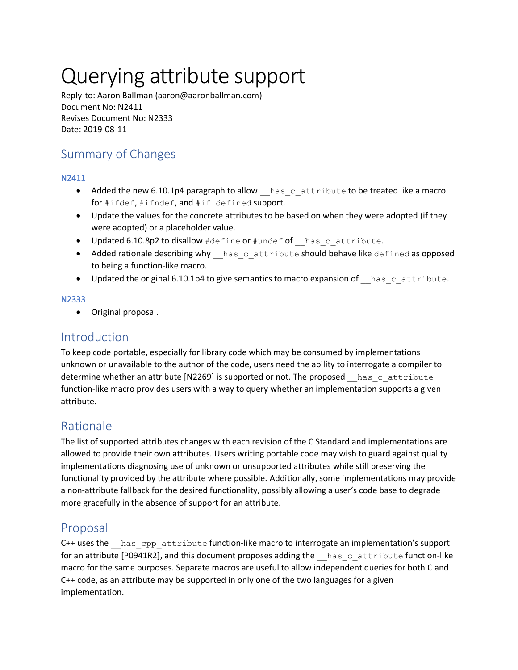# Querying attribute support

Reply-to: Aaron Ballman (aaron@aaronballman.com) Document No: N2411 Revises Document No: N2333 Date: 2019-08-11

# Summary of Changes

### N2411

- Added the new 6.10.1p4 paragraph to allow has cattribute to be treated like a macro for #ifdef, #ifndef, and #if defined support.
- Update the values for the concrete attributes to be based on when they were adopted (if they were adopted) or a placeholder value.
- Updated 6.10.8p2 to disallow #define or #undef of has cattribute.
- Added rationale describing why has cattribute should behave like defined as opposed to being a function-like macro.
- Updated the original 6.10.1p4 to give semantics to macro expansion of has cattribute.

### N2333

Original proposal.

## Introduction

To keep code portable, especially for library code which may be consumed by implementations unknown or unavailable to the author of the code, users need the ability to interrogate a compiler to determine whether an attribute [N2269] is supported or not. The proposed has cattribute function-like macro provides users with a way to query whether an implementation supports a given attribute.

# Rationale

The list of supported attributes changes with each revision of the C Standard and implementations are allowed to provide their own attributes. Users writing portable code may wish to guard against quality implementations diagnosing use of unknown or unsupported attributes while still preserving the functionality provided by the attribute where possible. Additionally, some implementations may provide a non-attribute fallback for the desired functionality, possibly allowing a user's code base to degrade more gracefully in the absence of support for an attribute.

# Proposal

C++ uses the has cpp attribute function-like macro to interrogate an implementation's support for an attribute [P0941R2], and this document proposes adding the  $\Delta$  has cattribute function-like macro for the same purposes. Separate macros are useful to allow independent queries for both C and C++ code, as an attribute may be supported in only one of the two languages for a given implementation.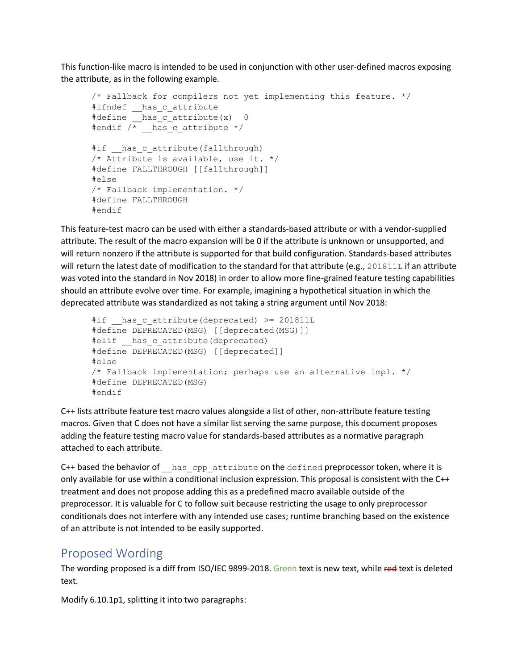This function-like macro is intended to be used in conjunction with other user-defined macros exposing the attribute, as in the following example.

```
/* Fallback for compilers not yet implementing this feature. */
#ifndef __has_c_attribute
#define __has c attribute(x) 0
#endif /* has c attribute */
#if has c attribute(fallthrough)
/* Attribute is available, use it. */
#define FALLTHROUGH [[fallthrough]]
#else
/* Fallback implementation. */
#define FALLTHROUGH
#endif
```
This feature-test macro can be used with either a standards-based attribute or with a vendor-supplied attribute. The result of the macro expansion will be 0 if the attribute is unknown or unsupported, and will return nonzero if the attribute is supported for that build configuration. Standards-based attributes will return the latest date of modification to the standard for that attribute (e.g., 201811L if an attribute was voted into the standard in Nov 2018) in order to allow more fine-grained feature testing capabilities should an attribute evolve over time. For example, imagining a hypothetical situation in which the deprecated attribute was standardized as not taking a string argument until Nov 2018:

```
#if has c attribute(deprecated) >= 201811L
#define DEPRECATED(MSG) [[deprecated(MSG)]]
#elif has c attribute(deprecated)
#define DEPRECATED(MSG) [[deprecated]]
#else
/* Fallback implementation; perhaps use an alternative impl. */
#define DEPRECATED(MSG)
#endif
```
C++ lists attribute feature test macro values alongside a list of other, non-attribute feature testing macros. Given that C does not have a similar list serving the same purpose, this document proposes adding the feature testing macro value for standards-based attributes as a normative paragraph attached to each attribute.

C++ based the behavior of has opp attribute on the defined preprocessor token, where it is only available for use within a conditional inclusion expression. This proposal is consistent with the C++ treatment and does not propose adding this as a predefined macro available outside of the preprocessor. It is valuable for C to follow suit because restricting the usage to only preprocessor conditionals does not interfere with any intended use cases; runtime branching based on the existence of an attribute is not intended to be easily supported.

## Proposed Wording

The wording proposed is a diff from ISO/IEC 9899-2018. Green text is new text, while red text is deleted text.

Modify 6.10.1p1, splitting it into two paragraphs: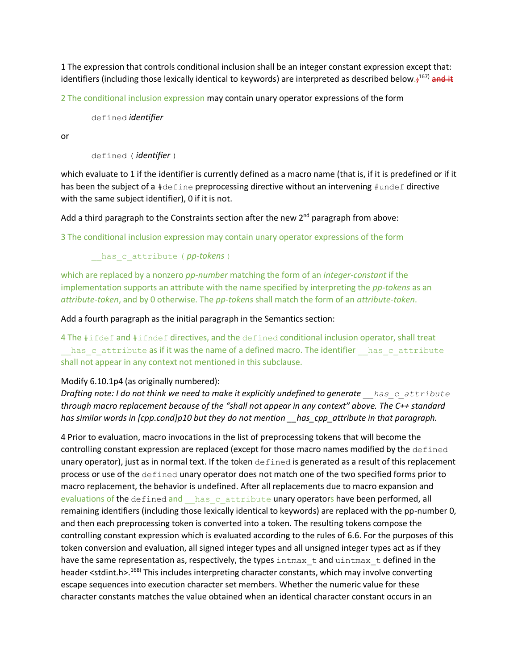1 The expression that controls conditional inclusion shall be an integer constant expression except that: identifiers (including those lexically identical to keywords) are interpreted as described below.;<sup>167)</sup> and it

2 The conditional inclusion expression may contain unary operator expressions of the form

defined *identifier*

or

```
defined ( identifier )
```
which evaluate to 1 if the identifier is currently defined as a macro name (that is, if it is predefined or if it has been the subject of a #define preprocessing directive without an intervening #undef directive with the same subject identifier), 0 if it is not.

Add a third paragraph to the Constraints section after the new  $2<sup>nd</sup>$  paragraph from above:

3 The conditional inclusion expression may contain unary operator expressions of the form

has c attribute ( *pp-tokens* )

which are replaced by a nonzero *pp-number* matching the form of an *integer-constant* if the implementation supports an attribute with the name specified by interpreting the *pp-tokens* as an *attribute-token*, and by 0 otherwise. The *pp-tokens* shall match the form of an *attribute-token*.

Add a fourth paragraph as the initial paragraph in the Semantics section:

4 The #ifdef and #ifndef directives, and the defined conditional inclusion operator, shall treat has c attribute as if it was the name of a defined macro. The identifier has c attribute shall not appear in any context not mentioned in this subclause.

#### Modify 6.10.1p4 (as originally numbered):

*Drafting note: I do not think we need to make it explicitly undefined to generate has cattribute through macro replacement because of the "shall not appear in any context" above. The C++ standard has similar words in [cpp.cond]p10 but they do not mention \_\_has\_cpp\_attribute in that paragraph.*

4 Prior to evaluation, macro invocations in the list of preprocessing tokens that will become the controlling constant expression are replaced (except for those macro names modified by the defined unary operator), just as in normal text. If the token defined is generated as a result of this replacement process or use of the defined unary operator does not match one of the two specified forms prior to macro replacement, the behavior is undefined. After all replacements due to macro expansion and evaluations of the defined and \_\_has\_c\_attribute unary operators have been performed, all remaining identifiers (including those lexically identical to keywords) are replaced with the pp-number 0, and then each preprocessing token is converted into a token. The resulting tokens compose the controlling constant expression which is evaluated according to the rules of 6.6. For the purposes of this token conversion and evaluation, all signed integer types and all unsigned integer types act as if they have the same representation as, respectively, the types intmax  $t$  and uintmax  $t$  defined in the header <stdint.h>.<sup>168)</sup> This includes interpreting character constants, which may involve converting escape sequences into execution character set members. Whether the numeric value for these character constants matches the value obtained when an identical character constant occurs in an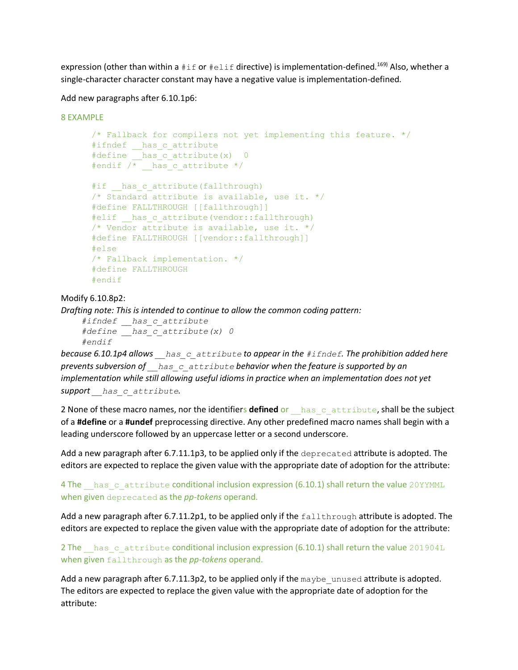expression (other than within a  $\#\text{if}$  or  $\#\text{elif}$  directive) is implementation-defined.<sup>169)</sup> Also, whether a single-character character constant may have a negative value is implementation-defined.

Add new paragraphs after 6.10.1p6:

```
8 EXAMPLE
      /* Fallback for compilers not yet implementing this feature. */
      #ifndef has c attribute
      #define has c attribute(x) 0#endif /* has c attribute */#if has c attribute(fallthrough)
      /* Standard attribute is available, use it. */
     #define FALLTHROUGH [[fallthrough]]
     #elif has c attribute(vendor::fallthrough)
     /* Vendor attribute is available, use it. */
     #define FALLTHROUGH [[vendor::fallthrough]]
     #else
     /* Fallback implementation. */
     #define FALLTHROUGH
     #endif
```
Modify 6.10.8p2:

*Drafting note: This is intended to continue to allow the common coding pattern:*

```
 #ifndef __has_c_attribute
 #define __has_c_attribute(x) 0
 #endif
```
*because 6.10.1p4 allows \_\_has\_c\_attribute to appear in the #ifndef. The prohibition added here prevents subversion of \_\_has\_c\_attribute behavior when the feature is supported by an implementation while still allowing useful idioms in practice when an implementation does not yet support \_\_has\_c\_attribute.*

2 None of these macro names, nor the identifiers defined or **has** cattribute, shall be the subject of a **#define** or a **#undef** preprocessing directive. Any other predefined macro names shall begin with a leading underscore followed by an uppercase letter or a second underscore.

Add a new paragraph after 6.7.11.1p3, to be applied only if the deprecated attribute is adopted. The editors are expected to replace the given value with the appropriate date of adoption for the attribute:

4 The \_\_has\_c\_attribute conditional inclusion expression (6.10.1) shall return the value 20YYMML when given deprecated as the *pp-tokens* operand.

Add a new paragraph after 6.7.11.2p1, to be applied only if the fallthrough attribute is adopted. The editors are expected to replace the given value with the appropriate date of adoption for the attribute:

2 The has cattribute conditional inclusion expression (6.10.1) shall return the value 201904L when given fallthrough as the *pp-tokens* operand.

Add a new paragraph after 6.7.11.3p2, to be applied only if the maybe unused attribute is adopted. The editors are expected to replace the given value with the appropriate date of adoption for the attribute: